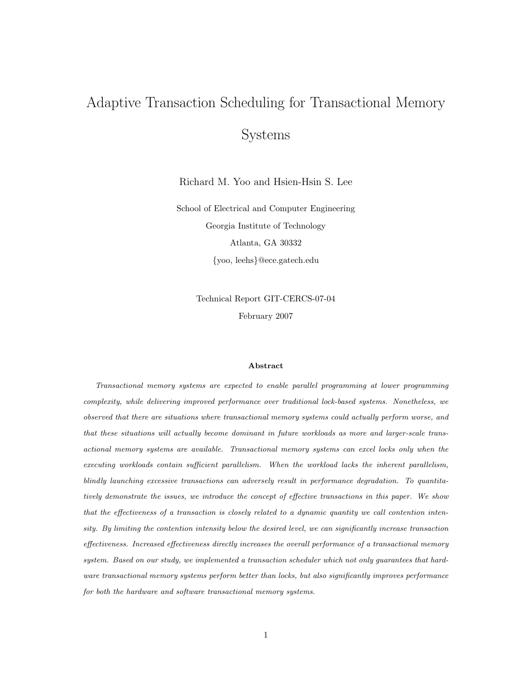# Adaptive Transaction Scheduling for Transactional Memory Systems

Richard M. Yoo and Hsien-Hsin S. Lee

School of Electrical and Computer Engineering Georgia Institute of Technology Atlanta, GA 30332 {yoo, leehs}@ece.gatech.edu

> Technical Report GIT-CERCS-07-04 February 2007

#### Abstract

Transactional memory systems are expected to enable parallel programming at lower programming complexity, while delivering improved performance over traditional lock-based systems. Nonetheless, we observed that there are situations where transactional memory systems could actually perform worse, and that these situations will actually become dominant in future workloads as more and larger-scale transactional memory systems are available. Transactional memory systems can excel locks only when the executing workloads contain sufficient parallelism. When the workload lacks the inherent parallelism, blindly launching excessive transactions can adversely result in performance degradation. To quantitatively demonstrate the issues, we introduce the concept of effective transactions in this paper. We show that the effectiveness of a transaction is closely related to a dynamic quantity we call contention intensity. By limiting the contention intensity below the desired level, we can significantly increase transaction effectiveness. Increased effectiveness directly increases the overall performance of a transactional memory system. Based on our study, we implemented a transaction scheduler which not only guarantees that hardware transactional memory systems perform better than locks, but also significantly improves performance for both the hardware and software transactional memory systems.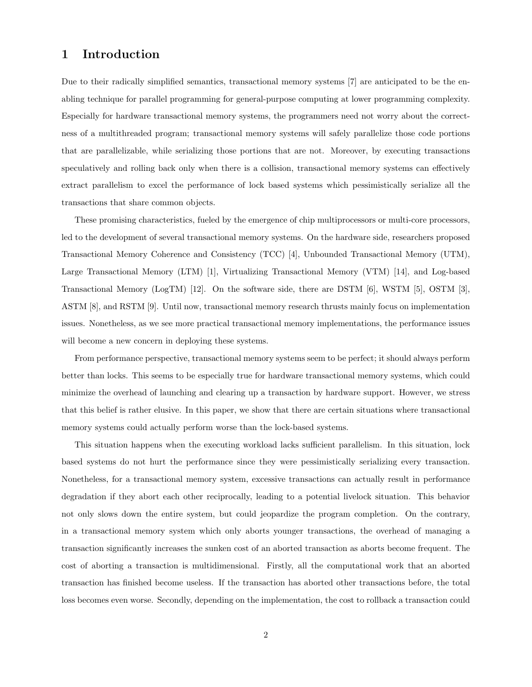# 1 Introduction

Due to their radically simplified semantics, transactional memory systems [7] are anticipated to be the enabling technique for parallel programming for general-purpose computing at lower programming complexity. Especially for hardware transactional memory systems, the programmers need not worry about the correctness of a multithreaded program; transactional memory systems will safely parallelize those code portions that are parallelizable, while serializing those portions that are not. Moreover, by executing transactions speculatively and rolling back only when there is a collision, transactional memory systems can effectively extract parallelism to excel the performance of lock based systems which pessimistically serialize all the transactions that share common objects.

These promising characteristics, fueled by the emergence of chip multiprocessors or multi-core processors, led to the development of several transactional memory systems. On the hardware side, researchers proposed Transactional Memory Coherence and Consistency (TCC) [4], Unbounded Transactional Memory (UTM), Large Transactional Memory (LTM) [1], Virtualizing Transactional Memory (VTM) [14], and Log-based Transactional Memory (LogTM) [12]. On the software side, there are DSTM [6], WSTM [5], OSTM [3], ASTM [8], and RSTM [9]. Until now, transactional memory research thrusts mainly focus on implementation issues. Nonetheless, as we see more practical transactional memory implementations, the performance issues will become a new concern in deploying these systems.

From performance perspective, transactional memory systems seem to be perfect; it should always perform better than locks. This seems to be especially true for hardware transactional memory systems, which could minimize the overhead of launching and clearing up a transaction by hardware support. However, we stress that this belief is rather elusive. In this paper, we show that there are certain situations where transactional memory systems could actually perform worse than the lock-based systems.

This situation happens when the executing workload lacks sufficient parallelism. In this situation, lock based systems do not hurt the performance since they were pessimistically serializing every transaction. Nonetheless, for a transactional memory system, excessive transactions can actually result in performance degradation if they abort each other reciprocally, leading to a potential livelock situation. This behavior not only slows down the entire system, but could jeopardize the program completion. On the contrary, in a transactional memory system which only aborts younger transactions, the overhead of managing a transaction significantly increases the sunken cost of an aborted transaction as aborts become frequent. The cost of aborting a transaction is multidimensional. Firstly, all the computational work that an aborted transaction has finished become useless. If the transaction has aborted other transactions before, the total loss becomes even worse. Secondly, depending on the implementation, the cost to rollback a transaction could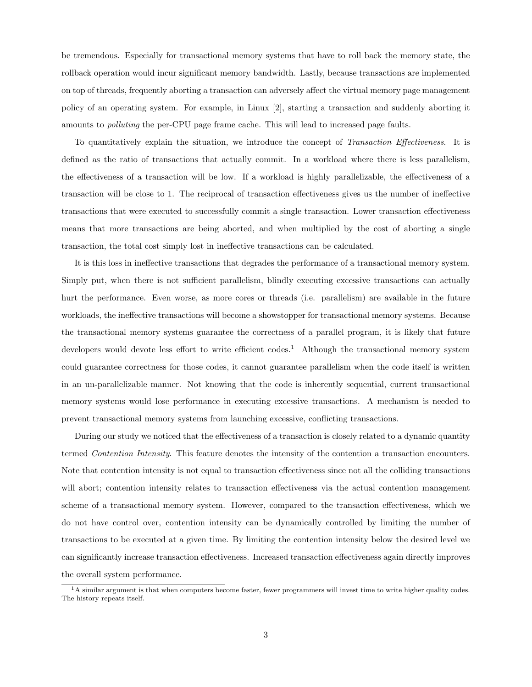be tremendous. Especially for transactional memory systems that have to roll back the memory state, the rollback operation would incur significant memory bandwidth. Lastly, because transactions are implemented on top of threads, frequently aborting a transaction can adversely affect the virtual memory page management policy of an operating system. For example, in Linux [2], starting a transaction and suddenly aborting it amounts to polluting the per-CPU page frame cache. This will lead to increased page faults.

To quantitatively explain the situation, we introduce the concept of Transaction Effectiveness. It is defined as the ratio of transactions that actually commit. In a workload where there is less parallelism, the effectiveness of a transaction will be low. If a workload is highly parallelizable, the effectiveness of a transaction will be close to 1. The reciprocal of transaction effectiveness gives us the number of ineffective transactions that were executed to successfully commit a single transaction. Lower transaction effectiveness means that more transactions are being aborted, and when multiplied by the cost of aborting a single transaction, the total cost simply lost in ineffective transactions can be calculated.

It is this loss in ineffective transactions that degrades the performance of a transactional memory system. Simply put, when there is not sufficient parallelism, blindly executing excessive transactions can actually hurt the performance. Even worse, as more cores or threads (i.e. parallelism) are available in the future workloads, the ineffective transactions will become a showstopper for transactional memory systems. Because the transactional memory systems guarantee the correctness of a parallel program, it is likely that future developers would devote less effort to write efficient codes.<sup>1</sup> Although the transactional memory system could guarantee correctness for those codes, it cannot guarantee parallelism when the code itself is written in an un-parallelizable manner. Not knowing that the code is inherently sequential, current transactional memory systems would lose performance in executing excessive transactions. A mechanism is needed to prevent transactional memory systems from launching excessive, conflicting transactions.

During our study we noticed that the effectiveness of a transaction is closely related to a dynamic quantity termed Contention Intensity. This feature denotes the intensity of the contention a transaction encounters. Note that contention intensity is not equal to transaction effectiveness since not all the colliding transactions will abort; contention intensity relates to transaction effectiveness via the actual contention management scheme of a transactional memory system. However, compared to the transaction effectiveness, which we do not have control over, contention intensity can be dynamically controlled by limiting the number of transactions to be executed at a given time. By limiting the contention intensity below the desired level we can significantly increase transaction effectiveness. Increased transaction effectiveness again directly improves the overall system performance.

<sup>&</sup>lt;sup>1</sup>A similar argument is that when computers become faster, fewer programmers will invest time to write higher quality codes. The history repeats itself.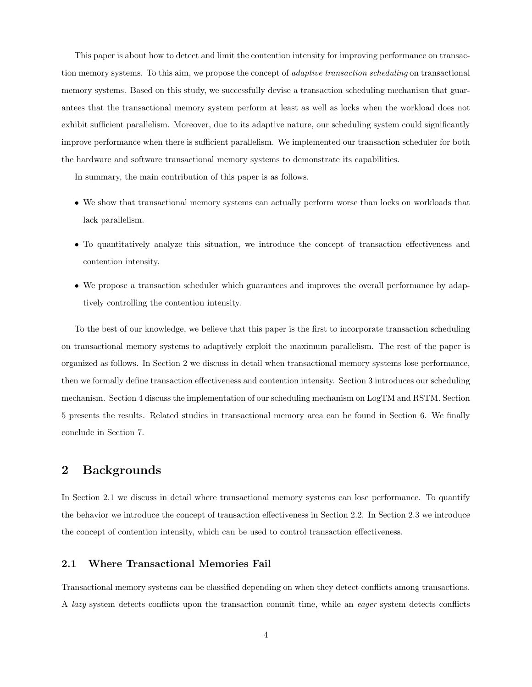This paper is about how to detect and limit the contention intensity for improving performance on transaction memory systems. To this aim, we propose the concept of *adaptive transaction scheduling* on transactional memory systems. Based on this study, we successfully devise a transaction scheduling mechanism that guarantees that the transactional memory system perform at least as well as locks when the workload does not exhibit sufficient parallelism. Moreover, due to its adaptive nature, our scheduling system could significantly improve performance when there is sufficient parallelism. We implemented our transaction scheduler for both the hardware and software transactional memory systems to demonstrate its capabilities.

In summary, the main contribution of this paper is as follows.

- We show that transactional memory systems can actually perform worse than locks on workloads that lack parallelism.
- To quantitatively analyze this situation, we introduce the concept of transaction effectiveness and contention intensity.
- We propose a transaction scheduler which guarantees and improves the overall performance by adaptively controlling the contention intensity.

To the best of our knowledge, we believe that this paper is the first to incorporate transaction scheduling on transactional memory systems to adaptively exploit the maximum parallelism. The rest of the paper is organized as follows. In Section 2 we discuss in detail when transactional memory systems lose performance, then we formally define transaction effectiveness and contention intensity. Section 3 introduces our scheduling mechanism. Section 4 discuss the implementation of our scheduling mechanism on LogTM and RSTM. Section 5 presents the results. Related studies in transactional memory area can be found in Section 6. We finally conclude in Section 7.

## 2 Backgrounds

In Section 2.1 we discuss in detail where transactional memory systems can lose performance. To quantify the behavior we introduce the concept of transaction effectiveness in Section 2.2. In Section 2.3 we introduce the concept of contention intensity, which can be used to control transaction effectiveness.

## 2.1 Where Transactional Memories Fail

Transactional memory systems can be classified depending on when they detect conflicts among transactions. A lazy system detects conflicts upon the transaction commit time, while an eager system detects conflicts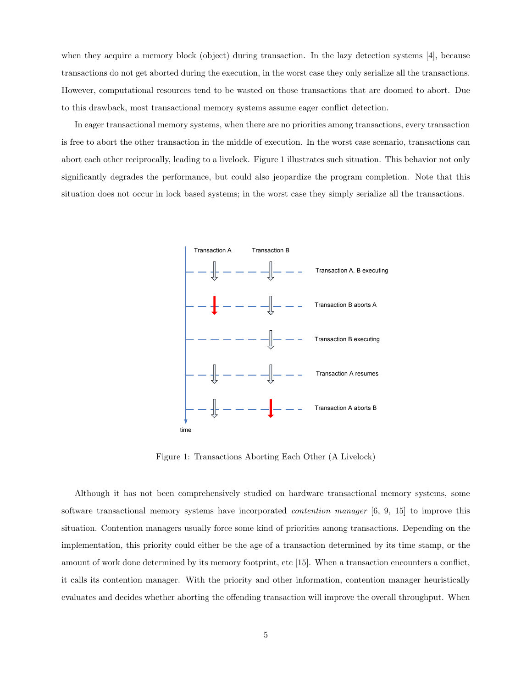when they acquire a memory block (object) during transaction. In the lazy detection systems [4], because transactions do not get aborted during the execution, in the worst case they only serialize all the transactions. However, computational resources tend to be wasted on those transactions that are doomed to abort. Due to this drawback, most transactional memory systems assume eager conflict detection.

In eager transactional memory systems, when there are no priorities among transactions, every transaction is free to abort the other transaction in the middle of execution. In the worst case scenario, transactions can abort each other reciprocally, leading to a livelock. Figure 1 illustrates such situation. This behavior not only significantly degrades the performance, but could also jeopardize the program completion. Note that this situation does not occur in lock based systems; in the worst case they simply serialize all the transactions.



Figure 1: Transactions Aborting Each Other (A Livelock)

Although it has not been comprehensively studied on hardware transactional memory systems, some software transactional memory systems have incorporated contention manager [6, 9, 15] to improve this situation. Contention managers usually force some kind of priorities among transactions. Depending on the implementation, this priority could either be the age of a transaction determined by its time stamp, or the amount of work done determined by its memory footprint, etc [15]. When a transaction encounters a conflict, it calls its contention manager. With the priority and other information, contention manager heuristically evaluates and decides whether aborting the offending transaction will improve the overall throughput. When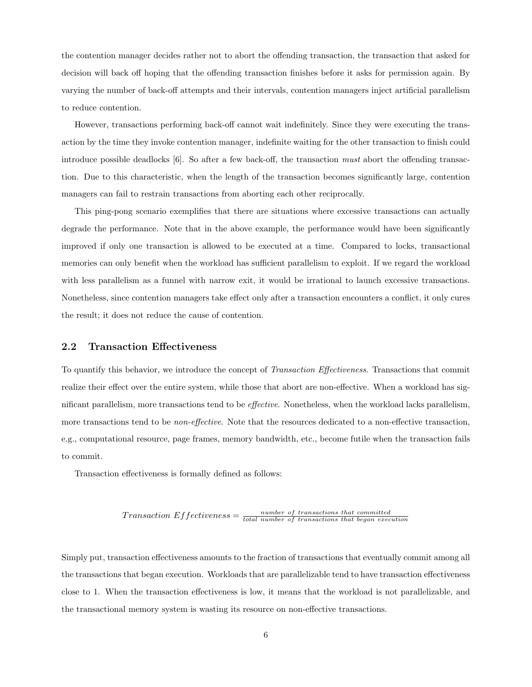the contention manager decides rather not to abort the offending transaction, the transaction that asked for decision will back off hoping that the offending transaction finishes before it asks for permission again. By varying the number of back-off attempts and their intervals, contention managers inject artificial parallelism to reduce contention.

However, transactions performing back-off cannot wait indefinitely. Since they were executing the transaction by the time they invoke contention manager, indefinite waiting for the other transaction to finish could introduce possible deadlocks [6]. So after a few back-off, the transaction must abort the offending transaction. Due to this characteristic, when the length of the transaction becomes significantly large, contention managers can fail to restrain transactions from aborting each other reciprocally.

This ping-pong scenario exemplifies that there are situations where excessive transactions can actually degrade the performance. Note that in the above example, the performance would have been significantly improved if only one transaction is allowed to be executed at a time. Compared to locks, transactional memories can only benefit when the workload has sufficient parallelism to exploit. If we regard the workload with less parallelism as a funnel with narrow exit, it would be irrational to launch excessive transactions. Nonetheless, since contention managers take effect only after a transaction encounters a conflict, it only cures the result; it does not reduce the cause of contention.

#### 2.2 Transaction Effectiveness

To quantify this behavior, we introduce the concept of Transaction Effectiveness. Transactions that commit realize their effect over the entire system, while those that abort are non-effective. When a workload has significant parallelism, more transactions tend to be effective. Nonetheless, when the workload lacks parallelism, more transactions tend to be *non-effective*. Note that the resources dedicated to a non-effective transaction, e.g., computational resource, page frames, memory bandwidth, etc., become futile when the transaction fails to commit.

Transaction effectiveness is formally defined as follows:

$$
Transaction \ Effectiveness = \frac{number\ of\ transactions\ that\ committed}{total\ number\ of\ transactions\ that\ began\ execution}
$$

Simply put, transaction effectiveness amounts to the fraction of transactions that eventually commit among all the transactions that began execution. Workloads that are parallelizable tend to have transaction effectiveness close to 1. When the transaction effectiveness is low, it means that the workload is not parallelizable, and the transactional memory system is wasting its resource on non-effective transactions.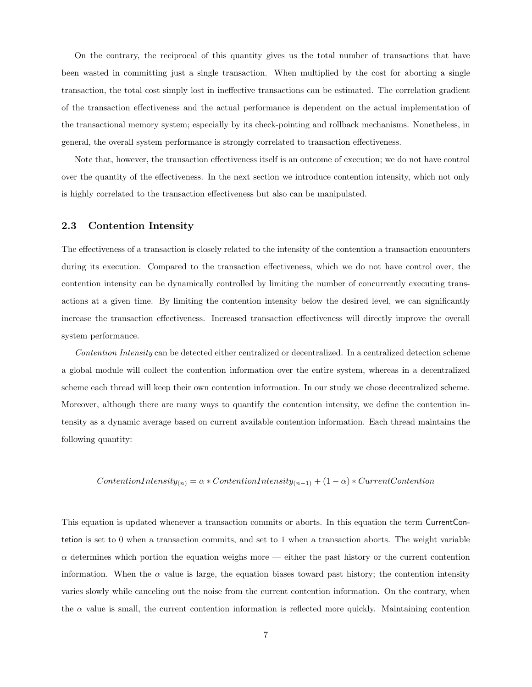On the contrary, the reciprocal of this quantity gives us the total number of transactions that have been wasted in committing just a single transaction. When multiplied by the cost for aborting a single transaction, the total cost simply lost in ineffective transactions can be estimated. The correlation gradient of the transaction effectiveness and the actual performance is dependent on the actual implementation of the transactional memory system; especially by its check-pointing and rollback mechanisms. Nonetheless, in general, the overall system performance is strongly correlated to transaction effectiveness.

Note that, however, the transaction effectiveness itself is an outcome of execution; we do not have control over the quantity of the effectiveness. In the next section we introduce contention intensity, which not only is highly correlated to the transaction effectiveness but also can be manipulated.

#### 2.3 Contention Intensity

The effectiveness of a transaction is closely related to the intensity of the contention a transaction encounters during its execution. Compared to the transaction effectiveness, which we do not have control over, the contention intensity can be dynamically controlled by limiting the number of concurrently executing transactions at a given time. By limiting the contention intensity below the desired level, we can significantly increase the transaction effectiveness. Increased transaction effectiveness will directly improve the overall system performance.

Contention Intensity can be detected either centralized or decentralized. In a centralized detection scheme a global module will collect the contention information over the entire system, whereas in a decentralized scheme each thread will keep their own contention information. In our study we chose decentralized scheme. Moreover, although there are many ways to quantify the contention intensity, we define the contention intensity as a dynamic average based on current available contention information. Each thread maintains the following quantity:

$$
Content ion Intensity_{(n)} = \alpha * ContentionIntensity_{(n-1)} + (1 - \alpha) * CurrentContention
$$

This equation is updated whenever a transaction commits or aborts. In this equation the term CurrentContetion is set to 0 when a transaction commits, and set to 1 when a transaction aborts. The weight variable  $\alpha$  determines which portion the equation weighs more — either the past history or the current contention information. When the  $\alpha$  value is large, the equation biases toward past history; the contention intensity varies slowly while canceling out the noise from the current contention information. On the contrary, when the  $\alpha$  value is small, the current contention information is reflected more quickly. Maintaining contention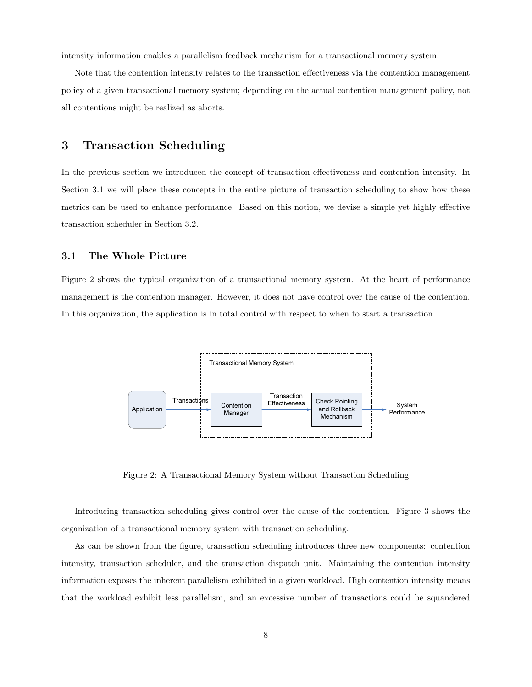intensity information enables a parallelism feedback mechanism for a transactional memory system.

Note that the contention intensity relates to the transaction effectiveness via the contention management policy of a given transactional memory system; depending on the actual contention management policy, not all contentions might be realized as aborts.

## 3 Transaction Scheduling

In the previous section we introduced the concept of transaction effectiveness and contention intensity. In Section 3.1 we will place these concepts in the entire picture of transaction scheduling to show how these metrics can be used to enhance performance. Based on this notion, we devise a simple yet highly effective transaction scheduler in Section 3.2.

#### 3.1 The Whole Picture

Figure 2 shows the typical organization of a transactional memory system. At the heart of performance management is the contention manager. However, it does not have control over the cause of the contention. In this organization, the application is in total control with respect to when to start a transaction.



Figure 2: A Transactional Memory System without Transaction Scheduling

Introducing transaction scheduling gives control over the cause of the contention. Figure 3 shows the organization of a transactional memory system with transaction scheduling.

As can be shown from the figure, transaction scheduling introduces three new components: contention intensity, transaction scheduler, and the transaction dispatch unit. Maintaining the contention intensity information exposes the inherent parallelism exhibited in a given workload. High contention intensity means that the workload exhibit less parallelism, and an excessive number of transactions could be squandered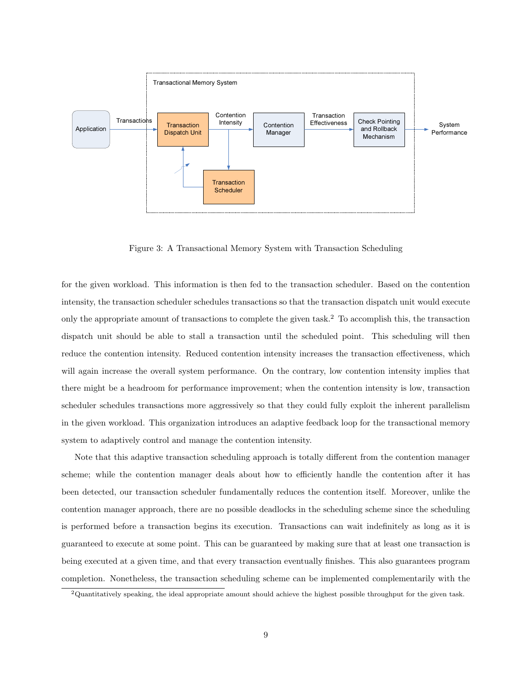

Figure 3: A Transactional Memory System with Transaction Scheduling

for the given workload. This information is then fed to the transaction scheduler. Based on the contention intensity, the transaction scheduler schedules transactions so that the transaction dispatch unit would execute only the appropriate amount of transactions to complete the given task.<sup>2</sup> To accomplish this, the transaction dispatch unit should be able to stall a transaction until the scheduled point. This scheduling will then reduce the contention intensity. Reduced contention intensity increases the transaction effectiveness, which will again increase the overall system performance. On the contrary, low contention intensity implies that there might be a headroom for performance improvement; when the contention intensity is low, transaction scheduler schedules transactions more aggressively so that they could fully exploit the inherent parallelism in the given workload. This organization introduces an adaptive feedback loop for the transactional memory system to adaptively control and manage the contention intensity.

Note that this adaptive transaction scheduling approach is totally different from the contention manager scheme; while the contention manager deals about how to efficiently handle the contention after it has been detected, our transaction scheduler fundamentally reduces the contention itself. Moreover, unlike the contention manager approach, there are no possible deadlocks in the scheduling scheme since the scheduling is performed before a transaction begins its execution. Transactions can wait indefinitely as long as it is guaranteed to execute at some point. This can be guaranteed by making sure that at least one transaction is being executed at a given time, and that every transaction eventually finishes. This also guarantees program completion. Nonetheless, the transaction scheduling scheme can be implemented complementarily with the

 $2$ Quantitatively speaking, the ideal appropriate amount should achieve the highest possible throughput for the given task.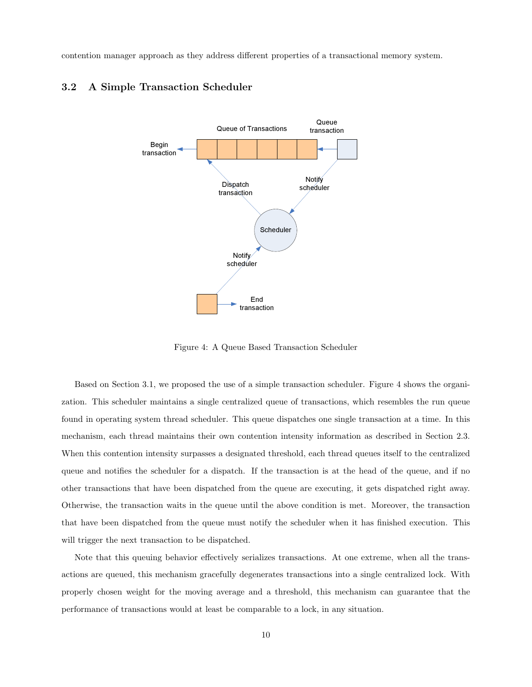contention manager approach as they address different properties of a transactional memory system.

## 3.2 A Simple Transaction Scheduler



Figure 4: A Queue Based Transaction Scheduler

Based on Section 3.1, we proposed the use of a simple transaction scheduler. Figure 4 shows the organization. This scheduler maintains a single centralized queue of transactions, which resembles the run queue found in operating system thread scheduler. This queue dispatches one single transaction at a time. In this mechanism, each thread maintains their own contention intensity information as described in Section 2.3. When this contention intensity surpasses a designated threshold, each thread queues itself to the centralized queue and notifies the scheduler for a dispatch. If the transaction is at the head of the queue, and if no other transactions that have been dispatched from the queue are executing, it gets dispatched right away. Otherwise, the transaction waits in the queue until the above condition is met. Moreover, the transaction that have been dispatched from the queue must notify the scheduler when it has finished execution. This will trigger the next transaction to be dispatched.

Note that this queuing behavior effectively serializes transactions. At one extreme, when all the transactions are queued, this mechanism gracefully degenerates transactions into a single centralized lock. With properly chosen weight for the moving average and a threshold, this mechanism can guarantee that the performance of transactions would at least be comparable to a lock, in any situation.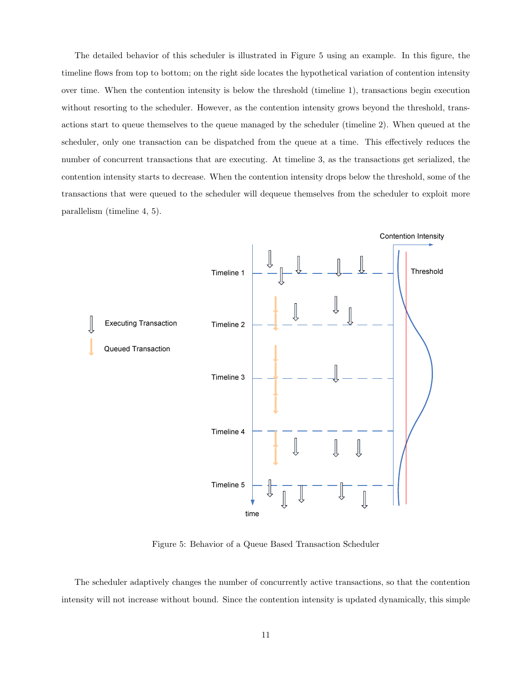The detailed behavior of this scheduler is illustrated in Figure 5 using an example. In this figure, the timeline flows from top to bottom; on the right side locates the hypothetical variation of contention intensity over time. When the contention intensity is below the threshold (timeline 1), transactions begin execution without resorting to the scheduler. However, as the contention intensity grows beyond the threshold, transactions start to queue themselves to the queue managed by the scheduler (timeline 2). When queued at the scheduler, only one transaction can be dispatched from the queue at a time. This effectively reduces the number of concurrent transactions that are executing. At timeline 3, as the transactions get serialized, the contention intensity starts to decrease. When the contention intensity drops below the threshold, some of the transactions that were queued to the scheduler will dequeue themselves from the scheduler to exploit more parallelism (timeline 4, 5).



Figure 5: Behavior of a Queue Based Transaction Scheduler

The scheduler adaptively changes the number of concurrently active transactions, so that the contention intensity will not increase without bound. Since the contention intensity is updated dynamically, this simple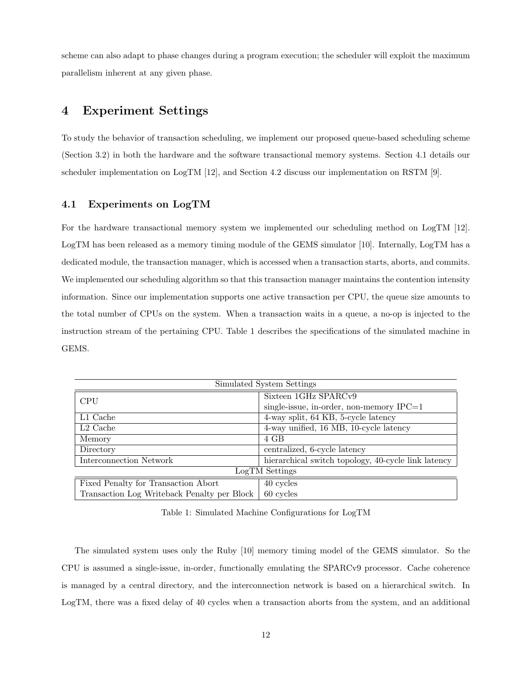scheme can also adapt to phase changes during a program execution; the scheduler will exploit the maximum parallelism inherent at any given phase.

# 4 Experiment Settings

To study the behavior of transaction scheduling, we implement our proposed queue-based scheduling scheme (Section 3.2) in both the hardware and the software transactional memory systems. Section 4.1 details our scheduler implementation on LogTM [12], and Section 4.2 discuss our implementation on RSTM [9].

#### 4.1 Experiments on LogTM

For the hardware transactional memory system we implemented our scheduling method on LogTM [12]. LogTM has been released as a memory timing module of the GEMS simulator [10]. Internally, LogTM has a dedicated module, the transaction manager, which is accessed when a transaction starts, aborts, and commits. We implemented our scheduling algorithm so that this transaction manager maintains the contention intensity information. Since our implementation supports one active transaction per CPU, the queue size amounts to the total number of CPUs on the system. When a transaction waits in a queue, a no-op is injected to the instruction stream of the pertaining CPU. Table 1 describes the specifications of the simulated machine in GEMS.

| Simulated System Settings                   |                                                     |  |
|---------------------------------------------|-----------------------------------------------------|--|
| <b>CPU</b>                                  | Sixteen 1GHz SPARCv9                                |  |
|                                             | single-issue, in-order, non-memory IPC=1            |  |
| L1 Cache                                    | 4-way split, 64 KB, 5-cycle latency                 |  |
| $L2$ Cache                                  | 4-way unified, 16 MB, 10-cycle latency              |  |
| Memory                                      | 4 GB                                                |  |
| Directory                                   | centralized, 6-cycle latency                        |  |
| Interconnection Network                     | hierarchical switch topology, 40-cycle link latency |  |
| LogTM Settings                              |                                                     |  |
| Fixed Penalty for Transaction Abort         | 40 cycles                                           |  |
| Transaction Log Writeback Penalty per Block | 60 cycles                                           |  |

Table 1: Simulated Machine Configurations for LogTM

The simulated system uses only the Ruby [10] memory timing model of the GEMS simulator. So the CPU is assumed a single-issue, in-order, functionally emulating the SPARCv9 processor. Cache coherence is managed by a central directory, and the interconnection network is based on a hierarchical switch. In LogTM, there was a fixed delay of 40 cycles when a transaction aborts from the system, and an additional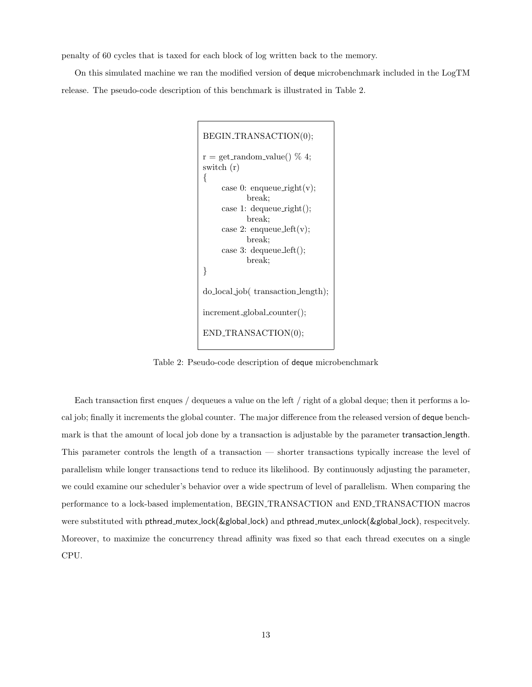penalty of 60 cycles that is taxed for each block of log written back to the memory.

On this simulated machine we ran the modified version of deque microbenchmark included in the LogTM release. The pseudo-code description of this benchmark is illustrated in Table 2.

```
BEGIN TRANSACTION(0);
r = get\_random\_value() % 4;
switch (r)
{
    case 0: enqueue_right(v);
           break;
    case 1: dequeue_right();
           break;
    case 2: enqueue_left(v);
           break;
    case 3: dequeue left();
           break;
}
do local job( transaction length);
increment global counter();
END_TRANSACTION(0);
```
Table 2: Pseudo-code description of deque microbenchmark

Each transaction first enques / dequeues a value on the left / right of a global deque; then it performs a local job; finally it increments the global counter. The major difference from the released version of deque benchmark is that the amount of local job done by a transaction is adjustable by the parameter transaction length. This parameter controls the length of a transaction — shorter transactions typically increase the level of parallelism while longer transactions tend to reduce its likelihood. By continuously adjusting the parameter, we could examine our scheduler's behavior over a wide spectrum of level of parallelism. When comparing the performance to a lock-based implementation, BEGIN TRANSACTION and END TRANSACTION macros were substituted with pthread\_mutex\_lock(&global\_lock) and pthread\_mutex\_unlock(&global\_lock), respecitvely. Moreover, to maximize the concurrency thread affinity was fixed so that each thread executes on a single CPU.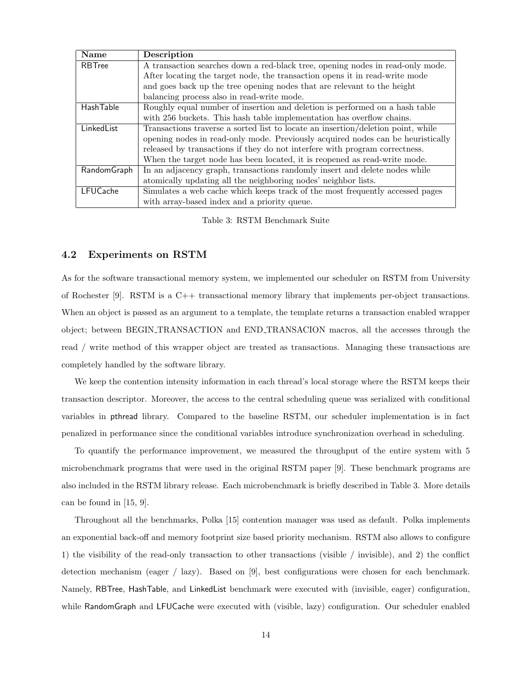| Name             | Description                                                                      |
|------------------|----------------------------------------------------------------------------------|
| RBTree           | A transaction searches down a red-black tree, opening nodes in read-only mode.   |
|                  | After locating the target node, the transaction opens it in read-write mode      |
|                  | and goes back up the tree opening nodes that are relevant to the height          |
|                  | balancing process also in read-write mode.                                       |
| <b>HashTable</b> | Roughly equal number of insertion and deletion is performed on a hash table      |
|                  | with 256 buckets. This hash table implementation has overflow chains.            |
| LinkedList       | Transactions traverse a sorted list to locate an insertion/deletion point, while |
|                  | opening nodes in read-only mode. Previously acquired nodes can be heuristically  |
|                  | released by transactions if they do not interfere with program correctness.      |
|                  | When the target node has been located, it is reopened as read-write mode.        |
| Random Graph     | In an adjacency graph, transactions randomly insert and delete nodes while       |
|                  | atomically updating all the neighboring nodes' neighbor lists.                   |
| LFUCache         | Simulates a web cache which keeps track of the most frequently accessed pages    |
|                  | with array-based index and a priority queue.                                     |

Table 3: RSTM Benchmark Suite

#### 4.2 Experiments on RSTM

As for the software transactional memory system, we implemented our scheduler on RSTM from University of Rochester [9]. RSTM is a C++ transactional memory library that implements per-object transactions. When an object is passed as an argument to a template, the template returns a transaction enabled wrapper object; between BEGIN TRANSACTION and END TRANSACION macros, all the accesses through the read / write method of this wrapper object are treated as transactions. Managing these transactions are completely handled by the software library.

We keep the contention intensity information in each thread's local storage where the RSTM keeps their transaction descriptor. Moreover, the access to the central scheduling queue was serialized with conditional variables in pthread library. Compared to the baseline RSTM, our scheduler implementation is in fact penalized in performance since the conditional variables introduce synchronization overhead in scheduling.

To quantify the performance improvement, we measured the throughput of the entire system with 5 microbenchmark programs that were used in the original RSTM paper [9]. These benchmark programs are also included in the RSTM library release. Each microbenchmark is briefly described in Table 3. More details can be found in [15, 9].

Throughout all the benchmarks, Polka [15] contention manager was used as default. Polka implements an exponential back-off and memory footprint size based priority mechanism. RSTM also allows to configure 1) the visibility of the read-only transaction to other transactions (visible / invisible), and 2) the conflict detection mechanism (eager / lazy). Based on [9], best configurations were chosen for each benchmark. Namely, RBTree, HashTable, and LinkedList benchmark were executed with (invisible, eager) configuration, while RandomGraph and LFUCache were executed with (visible, lazy) configuration. Our scheduler enabled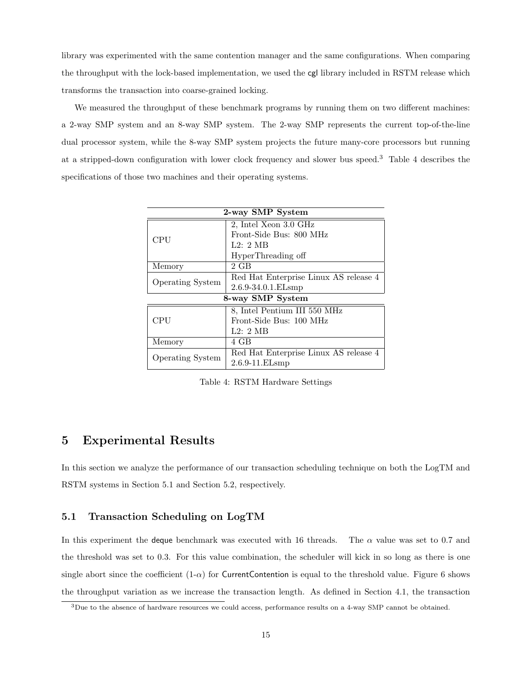library was experimented with the same contention manager and the same configurations. When comparing the throughput with the lock-based implementation, we used the cgl library included in RSTM release which transforms the transaction into coarse-grained locking.

We measured the throughput of these benchmark programs by running them on two different machines: a 2-way SMP system and an 8-way SMP system. The 2-way SMP represents the current top-of-the-line dual processor system, while the 8-way SMP system projects the future many-core processors but running at a stripped-down configuration with lower clock frequency and slower bus speed.<sup>3</sup> Table 4 describes the specifications of those two machines and their operating systems.

| 2-way SMP System        |                                       |  |
|-------------------------|---------------------------------------|--|
| CPU                     | 2, Intel Xeon 3.0 GHz                 |  |
|                         | Front-Side Bus: 800 MHz               |  |
|                         | L2:2MB                                |  |
|                         | HyperThreading off                    |  |
| Memory                  | 2 GB                                  |  |
| <b>Operating System</b> | Red Hat Enterprise Linux AS release 4 |  |
|                         | $2.6.9 - 34.0.1$ . ELsmp              |  |
| 8-way SMP System        |                                       |  |
| <b>CPU</b>              | 8, Intel Pentium III 550 MHz          |  |
|                         | Front-Side Bus: 100 MHz               |  |
|                         | L2:2MB                                |  |
| Memory                  | 4 GB                                  |  |
| <b>Operating System</b> | Red Hat Enterprise Linux AS release 4 |  |
|                         | $2.6.9 - 11.ELsmp$                    |  |

Table 4: RSTM Hardware Settings

# 5 Experimental Results

In this section we analyze the performance of our transaction scheduling technique on both the LogTM and RSTM systems in Section 5.1 and Section 5.2, respectively.

#### 5.1 Transaction Scheduling on LogTM

In this experiment the deque benchmark was executed with 16 threads. The  $\alpha$  value was set to 0.7 and the threshold was set to 0.3. For this value combination, the scheduler will kick in so long as there is one single abort since the coefficient  $(1-\alpha)$  for CurrentContention is equal to the threshold value. Figure 6 shows the throughput variation as we increase the transaction length. As defined in Section 4.1, the transaction

 $3$ Due to the absence of hardware resources we could access, performance results on a 4-way SMP cannot be obtained.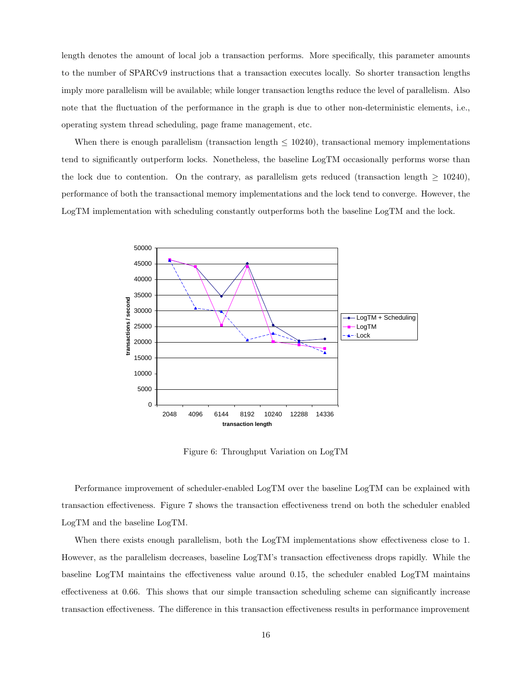length denotes the amount of local job a transaction performs. More specifically, this parameter amounts to the number of SPARCv9 instructions that a transaction executes locally. So shorter transaction lengths imply more parallelism will be available; while longer transaction lengths reduce the level of parallelism. Also note that the fluctuation of the performance in the graph is due to other non-deterministic elements, i.e., operating system thread scheduling, page frame management, etc.

When there is enough parallelism (transaction length  $\leq 10240$ ), transactional memory implementations tend to significantly outperform locks. Nonetheless, the baseline LogTM occasionally performs worse than the lock due to contention. On the contrary, as parallelism gets reduced (transaction length  $\geq 10240$ ), performance of both the transactional memory implementations and the lock tend to converge. However, the LogTM implementation with scheduling constantly outperforms both the baseline LogTM and the lock.



Figure 6: Throughput Variation on LogTM

Performance improvement of scheduler-enabled LogTM over the baseline LogTM can be explained with transaction effectiveness. Figure 7 shows the transaction effectiveness trend on both the scheduler enabled LogTM and the baseline LogTM.

When there exists enough parallelism, both the LogTM implementations show effectiveness close to 1. However, as the parallelism decreases, baseline LogTM's transaction effectiveness drops rapidly. While the baseline LogTM maintains the effectiveness value around 0.15, the scheduler enabled LogTM maintains effectiveness at 0.66. This shows that our simple transaction scheduling scheme can significantly increase transaction effectiveness. The difference in this transaction effectiveness results in performance improvement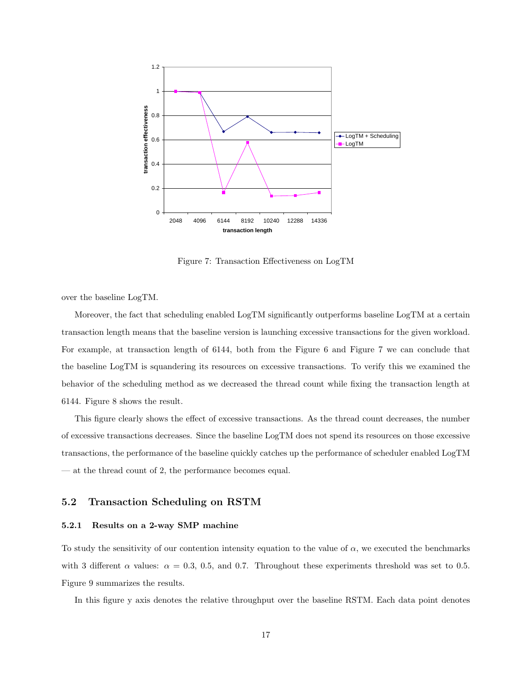

Figure 7: Transaction Effectiveness on LogTM

over the baseline LogTM.

Moreover, the fact that scheduling enabled LogTM significantly outperforms baseline LogTM at a certain transaction length means that the baseline version is launching excessive transactions for the given workload. For example, at transaction length of 6144, both from the Figure 6 and Figure 7 we can conclude that the baseline LogTM is squandering its resources on excessive transactions. To verify this we examined the behavior of the scheduling method as we decreased the thread count while fixing the transaction length at 6144. Figure 8 shows the result.

This figure clearly shows the effect of excessive transactions. As the thread count decreases, the number of excessive transactions decreases. Since the baseline LogTM does not spend its resources on those excessive transactions, the performance of the baseline quickly catches up the performance of scheduler enabled LogTM — at the thread count of 2, the performance becomes equal.

#### 5.2 Transaction Scheduling on RSTM

#### 5.2.1 Results on a 2-way SMP machine

To study the sensitivity of our contention intensity equation to the value of  $\alpha$ , we executed the benchmarks with 3 different  $\alpha$  values:  $\alpha = 0.3, 0.5,$  and 0.7. Throughout these experiments threshold was set to 0.5. Figure 9 summarizes the results.

In this figure y axis denotes the relative throughput over the baseline RSTM. Each data point denotes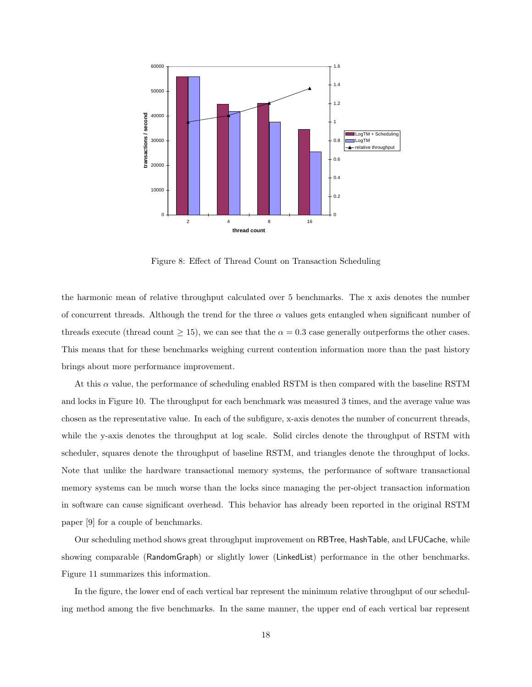

Figure 8: Effect of Thread Count on Transaction Scheduling

the harmonic mean of relative throughput calculated over 5 benchmarks. The x axis denotes the number of concurrent threads. Although the trend for the three  $\alpha$  values gets entangled when significant number of threads execute (thread count  $\geq 15$ ), we can see that the  $\alpha = 0.3$  case generally outperforms the other cases. This means that for these benchmarks weighing current contention information more than the past history brings about more performance improvement.

At this  $\alpha$  value, the performance of scheduling enabled RSTM is then compared with the baseline RSTM and locks in Figure 10. The throughput for each benchmark was measured 3 times, and the average value was chosen as the representative value. In each of the subfigure, x-axis denotes the number of concurrent threads, while the y-axis denotes the throughput at log scale. Solid circles denote the throughput of RSTM with scheduler, squares denote the throughput of baseline RSTM, and triangles denote the throughput of locks. Note that unlike the hardware transactional memory systems, the performance of software transactional memory systems can be much worse than the locks since managing the per-object transaction information in software can cause significant overhead. This behavior has already been reported in the original RSTM paper [9] for a couple of benchmarks.

Our scheduling method shows great throughput improvement on RBTree, HashTable, and LFUCache, while showing comparable (RandomGraph) or slightly lower (LinkedList) performance in the other benchmarks. Figure 11 summarizes this information.

In the figure, the lower end of each vertical bar represent the minimum relative throughput of our scheduling method among the five benchmarks. In the same manner, the upper end of each vertical bar represent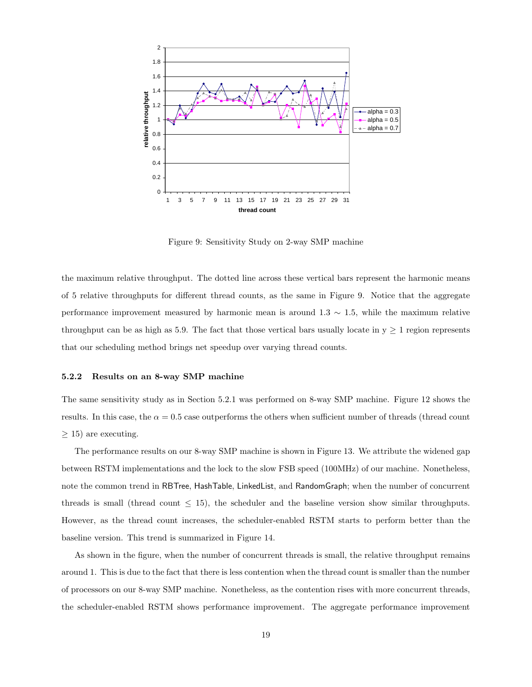

Figure 9: Sensitivity Study on 2-way SMP machine

the maximum relative throughput. The dotted line across these vertical bars represent the harmonic means of 5 relative throughputs for different thread counts, as the same in Figure 9. Notice that the aggregate performance improvement measured by harmonic mean is around 1.3 ∼ 1.5, while the maximum relative throughput can be as high as 5.9. The fact that those vertical bars usually locate in  $y \ge 1$  region represents that our scheduling method brings net speedup over varying thread counts.

#### 5.2.2 Results on an 8-way SMP machine

The same sensitivity study as in Section 5.2.1 was performed on 8-way SMP machine. Figure 12 shows the results. In this case, the  $\alpha = 0.5$  case outperforms the others when sufficient number of threads (thread count  $\geq$  15) are executing.

The performance results on our 8-way SMP machine is shown in Figure 13. We attribute the widened gap between RSTM implementations and the lock to the slow FSB speed (100MHz) of our machine. Nonetheless, note the common trend in RBTree, HashTable, LinkedList, and RandomGraph; when the number of concurrent threads is small (thread count  $\leq 15$ ), the scheduler and the baseline version show similar throughputs. However, as the thread count increases, the scheduler-enabled RSTM starts to perform better than the baseline version. This trend is summarized in Figure 14.

As shown in the figure, when the number of concurrent threads is small, the relative throughput remains around 1. This is due to the fact that there is less contention when the thread count is smaller than the number of processors on our 8-way SMP machine. Nonetheless, as the contention rises with more concurrent threads, the scheduler-enabled RSTM shows performance improvement. The aggregate performance improvement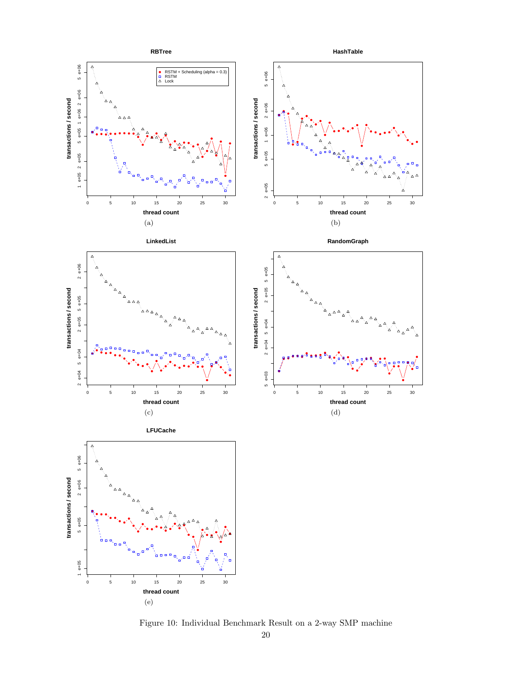

Figure 10: Individual Benchmark Result on a 2-way SMP machine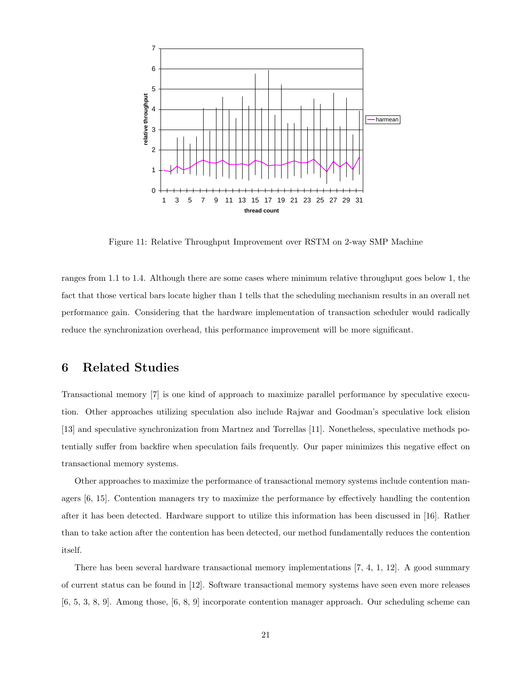

Figure 11: Relative Throughput Improvement over RSTM on 2-way SMP Machine

ranges from 1.1 to 1.4. Although there are some cases where minimum relative throughput goes below 1, the fact that those vertical bars locate higher than 1 tells that the scheduling mechanism results in an overall net performance gain. Considering that the hardware implementation of transaction scheduler would radically reduce the synchronization overhead, this performance improvement will be more significant.

# 6 Related Studies

Transactional memory [7] is one kind of approach to maximize parallel performance by speculative execution. Other approaches utilizing speculation also include Rajwar and Goodman's speculative lock elision [13] and speculative synchronization from Martnez and Torrellas [11]. Nonetheless, speculative methods potentially suffer from backfire when speculation fails frequently. Our paper minimizes this negative effect on transactional memory systems.

Other approaches to maximize the performance of transactional memory systems include contention managers [6, 15]. Contention managers try to maximize the performance by effectively handling the contention after it has been detected. Hardware support to utilize this information has been discussed in [16]. Rather than to take action after the contention has been detected, our method fundamentally reduces the contention itself.

There has been several hardware transactional memory implementations [7, 4, 1, 12]. A good summary of current status can be found in [12]. Software transactional memory systems have seen even more releases [6, 5, 3, 8, 9]. Among those, [6, 8, 9] incorporate contention manager approach. Our scheduling scheme can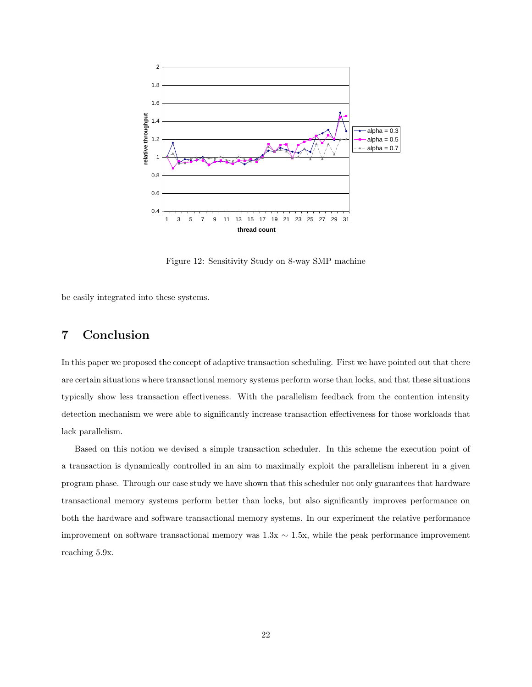

Figure 12: Sensitivity Study on 8-way SMP machine

be easily integrated into these systems.

# 7 Conclusion

In this paper we proposed the concept of adaptive transaction scheduling. First we have pointed out that there are certain situations where transactional memory systems perform worse than locks, and that these situations typically show less transaction effectiveness. With the parallelism feedback from the contention intensity detection mechanism we were able to significantly increase transaction effectiveness for those workloads that lack parallelism.

Based on this notion we devised a simple transaction scheduler. In this scheme the execution point of a transaction is dynamically controlled in an aim to maximally exploit the parallelism inherent in a given program phase. Through our case study we have shown that this scheduler not only guarantees that hardware transactional memory systems perform better than locks, but also significantly improves performance on both the hardware and software transactional memory systems. In our experiment the relative performance improvement on software transactional memory was  $1.3x \sim 1.5x$ , while the peak performance improvement reaching 5.9x.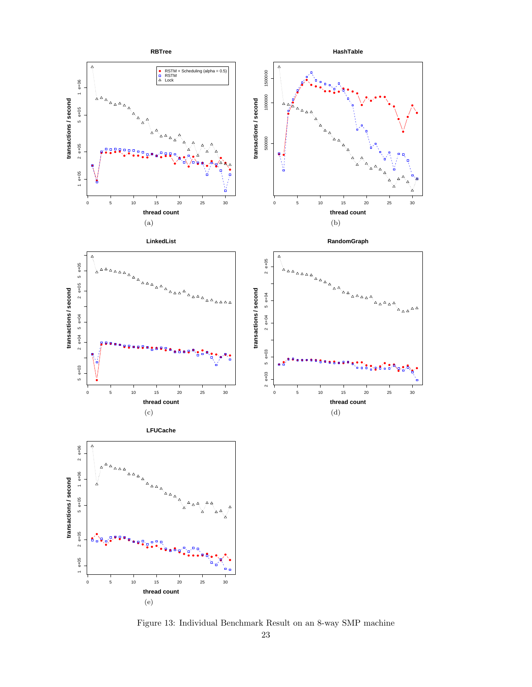

Figure 13: Individual Benchmark Result on an 8-way SMP machine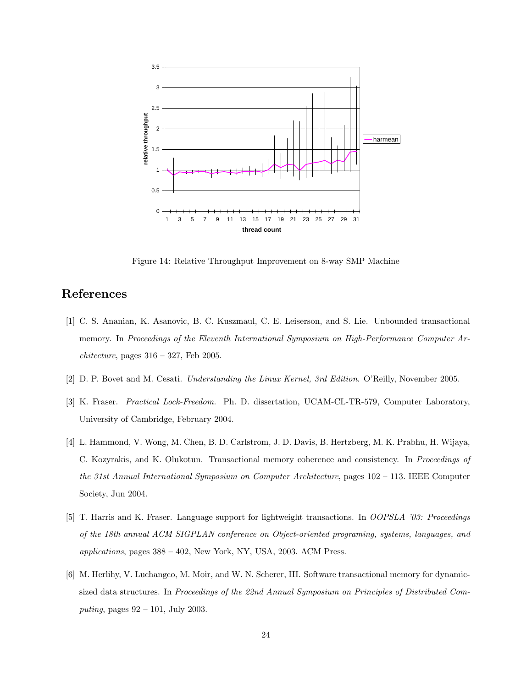![](_page_23_Figure_0.jpeg)

Figure 14: Relative Throughput Improvement on 8-way SMP Machine

# References

- [1] C. S. Ananian, K. Asanovic, B. C. Kuszmaul, C. E. Leiserson, and S. Lie. Unbounded transactional memory. In Proceedings of the Eleventh International Symposium on High-Performance Computer Ar $chitecture$ , pages  $316 - 327$ , Feb 2005.
- [2] D. P. Bovet and M. Cesati. Understanding the Linux Kernel, 3rd Edition. O'Reilly, November 2005.
- [3] K. Fraser. Practical Lock-Freedom. Ph. D. dissertation, UCAM-CL-TR-579, Computer Laboratory, University of Cambridge, February 2004.
- [4] L. Hammond, V. Wong, M. Chen, B. D. Carlstrom, J. D. Davis, B. Hertzberg, M. K. Prabhu, H. Wijaya, C. Kozyrakis, and K. Olukotun. Transactional memory coherence and consistency. In Proceedings of the 31st Annual International Symposium on Computer Architecture, pages 102 – 113. IEEE Computer Society, Jun 2004.
- [5] T. Harris and K. Fraser. Language support for lightweight transactions. In OOPSLA '03: Proceedings of the 18th annual ACM SIGPLAN conference on Object-oriented programing, systems, languages, and applications, pages 388 – 402, New York, NY, USA, 2003. ACM Press.
- [6] M. Herlihy, V. Luchangco, M. Moir, and W. N. Scherer, III. Software transactional memory for dynamicsized data structures. In Proceedings of the 22nd Annual Symposium on Principles of Distributed Computing, pages 92 – 101, July 2003.